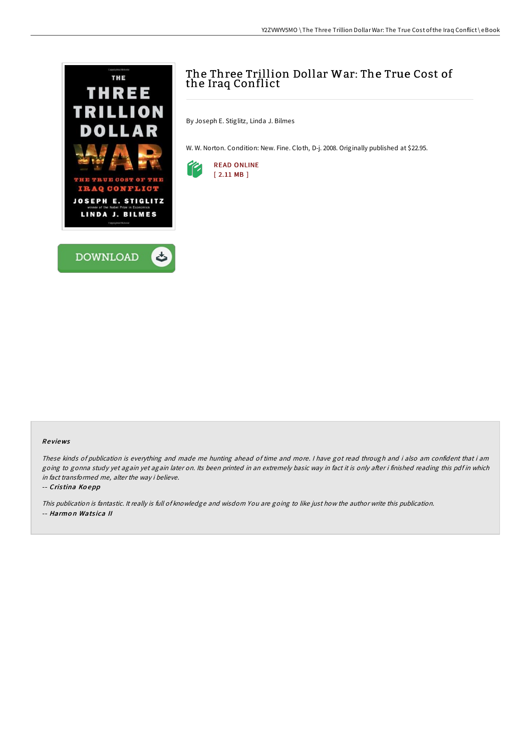

# The Three Trillion Dollar War: The True Cost of the Iraq Conflict

By Joseph E. Stiglitz, Linda J. Bilmes

W. W. Norton. Condition: New. Fine. Cloth, D-j. 2008. Originally published at \$22.95.



### Re views

These kinds of publication is everything and made me hunting ahead of time and more. <sup>I</sup> have got read through and i also am confident that i am going to gonna study yet again yet again later on. Its been printed in an extremely basic way in fact it is only after i finished reading this pdf in which in fact transformed me, alter the way i believe.

#### -- Cris tina Ko epp

This publication is fantastic. It really is full of knowledge and wisdom You are going to like just how the author write this publication. -- Harmon Watsica II